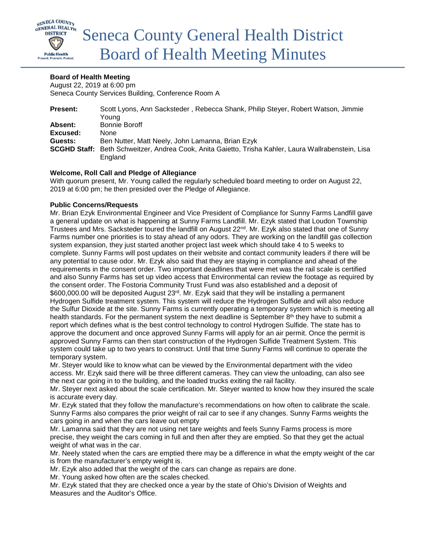

# **Board of Health Meeting**

August 22, 2019 at 6:00 pm Seneca County Services Building, Conference Room A

| <b>Present:</b> | Scott Lyons, Ann Sacksteder, Rebecca Shank, Philip Steyer, Robert Watson, Jimmie                    |
|-----------------|-----------------------------------------------------------------------------------------------------|
|                 | Youna                                                                                               |
| Absent:         | <b>Bonnie Boroff</b>                                                                                |
| Excused:        | None                                                                                                |
| Guests:         | Ben Nutter, Matt Neely, John Lamanna, Brian Ezyk                                                    |
|                 | SCGHD Staff: Beth Schweitzer, Andrea Cook, Anita Gaietto, Trisha Kahler, Laura Wallrabenstein, Lisa |
|                 | England                                                                                             |

# **Welcome, Roll Call and Pledge of Allegiance**

With quorum present, Mr. Young called the regularly scheduled board meeting to order on August 22, 2019 at 6:00 pm; he then presided over the Pledge of Allegiance.

# **Public Concerns/Requests**

Mr. Brian Ezyk Environmental Engineer and Vice President of Compliance for Sunny Farms Landfill gave a general update on what is happening at Sunny Farms Landfill. Mr. Ezyk stated that Loudon Township Trustees and Mrs. Sacksteder toured the landfill on August 22<sup>nd</sup>. Mr. Ezyk also stated that one of Sunny Farms number one priorities is to stay ahead of any odors. They are working on the landfill gas collection system expansion, they just started another project last week which should take 4 to 5 weeks to complete. Sunny Farms will post updates on their website and contact community leaders if there will be any potential to cause odor. Mr. Ezyk also said that they are staying in compliance and ahead of the requirements in the consent order. Two important deadlines that were met was the rail scale is certified and also Sunny Farms has set up video access that Environmental can review the footage as required by the consent order. The Fostoria Community Trust Fund was also established and a deposit of \$600,000.00 will be deposited August 23<sup>rd</sup>. Mr. Ezyk said that they will be installing a permanent Hydrogen Sulfide treatment system. This system will reduce the Hydrogen Sulfide and will also reduce the Sulfur Dioxide at the site. Sunny Farms is currently operating a temporary system which is meeting all health standards. For the permanent system the next deadline is September  $8<sup>th</sup>$  they have to submit a report which defines what is the best control technology to control Hydrogen Sulfide. The state has to approve the document and once approved Sunny Farms will apply for an air permit. Once the permit is approved Sunny Farms can then start construction of the Hydrogen Sulfide Treatment System. This system could take up to two years to construct. Until that time Sunny Farms will continue to operate the temporary system.

Mr. Steyer would like to know what can be viewed by the Environmental department with the video access. Mr. Ezyk said there will be three different cameras. They can view the unloading, can also see the next car going in to the building, and the loaded trucks exiting the rail facility.

Mr. Steyer next asked about the scale certification. Mr. Steyer wanted to know how they insured the scale is accurate every day.

Mr. Ezyk stated that they follow the manufacture's recommendations on how often to calibrate the scale. Sunny Farms also compares the prior weight of rail car to see if any changes. Sunny Farms weights the cars going in and when the cars leave out empty

Mr. Lamanna said that they are not using net tare weights and feels Sunny Farms process is more precise, they weight the cars coming in full and then after they are emptied. So that they get the actual weight of what was in the car.

Mr. Neely stated when the cars are emptied there may be a difference in what the empty weight of the car is from the manufacturer's empty weight is.

Mr. Ezyk also added that the weight of the cars can change as repairs are done.

Mr. Young asked how often are the scales checked.

Mr. Ezyk stated that they are checked once a year by the state of Ohio's Division of Weights and Measures and the Auditor's Office.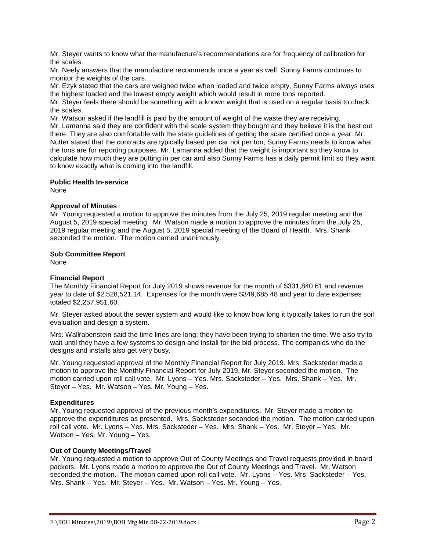Mr. Steyer wants to know what the manufacture's recommendations are for frequency of calibration for the scales.

Mr. Neely answers that the manufacture recommends once a year as well. Sunny Farms continues to monitor the weights of the cars.

Mr. Ezyk stated that the cars are weighed twice when loaded and twice empty, Sunny Farms always uses the highest loaded and the lowest empty weight which would result in more tons reported.

Mr. Steyer feels there should be something with a known weight that is used on a regular basis to check the scales.

Mr. Watson asked if the landfill is paid by the amount of weight of the waste they are receiving. Mr. Lamanna said they are confident with the scale system they bought and they believe it is the best out there. They are also comfortable with the state guidelines of getting the scale certified once a year. Mr. Nutter stated that the contracts are typically based per car not per ton, Sunny Farms needs to know what the tons are for reporting purposes. Mr. Lamanna added that the weight is important so they know to calculate how much they are putting in per car and also Sunny Farms has a daily permit limit so they want to know exactly what is coming into the landfill.

# **Public Health In-service**

None

# **Approval of Minutes**

Mr. Young requested a motion to approve the minutes from the July 25, 2019 regular meeting and the August 5, 2019 special meeting. Mr. Watson made a motion to approve the minutes from the July 25, 2019 regular meeting and the August 5, 2019 special meeting of the Board of Health. Mrs. Shank seconded the motion. The motion carried unanimously.

# **Sub Committee Report**

None

### **Financial Report**

The Monthly Financial Report for July 2019 shows revenue for the month of \$331,840.61 and revenue year to date of \$2,528,521.14. Expenses for the month were \$349,685.48 and year to date expenses totaled \$2,257,951.60.

Mr. Steyer asked about the sewer system and would like to know how long it typically takes to run the soil evaluation and design a system.

Mrs. Wallrabenstein said the time lines are long; they have been trying to shorten the time. We also try to wait until they have a few systems to design and install for the bid process. The companies who do the designs and installs also get very busy.

Mr. Young requested approval of the Monthly Financial Report for July 2019. Mrs. Sacksteder made a motion to approve the Monthly Financial Report for July 2019. Mr. Steyer seconded the motion. The motion carried upon roll call vote. Mr. Lyons – Yes. Mrs. Sacksteder – Yes. Mrs. Shank – Yes. Mr. Steyer – Yes. Mr. Watson – Yes. Mr. Young – Yes.

# **Expenditures**

Mr. Young requested approval of the previous month's expenditures. Mr. Steyer made a motion to approve the expenditures as presented. Mrs. Sacksteder seconded the motion. The motion carried upon roll call vote. Mr. Lyons – Yes. Mrs. Sacksteder – Yes. Mrs. Shank – Yes. Mr. Steyer – Yes. Mr. Watson – Yes. Mr. Young – Yes.

### **Out of County Meetings/Travel**

Mr. Young requested a motion to approve Out of County Meetings and Travel requests provided in board packets. Mr. Lyons made a motion to approve the Out of County Meetings and Travel. Mr. Watson seconded the motion. The motion carried upon roll call vote. Mr. Lyons – Yes. Mrs. Sacksteder – Yes. Mrs. Shank – Yes. Mr. Steyer – Yes. Mr. Watson – Yes. Mr. Young – Yes.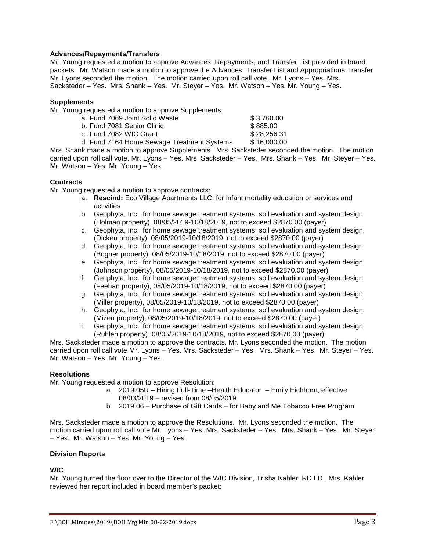# **Advances/Repayments/Transfers**

Mr. Young requested a motion to approve Advances, Repayments, and Transfer List provided in board packets. Mr. Watson made a motion to approve the Advances, Transfer List and Appropriations Transfer. Mr. Lyons seconded the motion. The motion carried upon roll call vote. Mr. Lyons – Yes. Mrs. Sacksteder – Yes. Mrs. Shank – Yes. Mr. Steyer – Yes. Mr. Watson – Yes. Mr. Young – Yes.

### **Supplements**

Mr. Young requested a motion to approve Supplements:

a. Fund 7069 Joint Solid Waste  $$3,760.00$ <br>b. Fund 7081 Senior Clinic  $$885.00$ b. Fund 7081 Senior Clinic c. Fund 7082 WIC Grant \$ 28,256.31 d. Fund 7164 Home Sewage Treatment Systems \$ 16,000.00

Mrs. Shank made a motion to approve Supplements. Mrs. Sacksteder seconded the motion. The motion carried upon roll call vote. Mr. Lyons – Yes. Mrs. Sacksteder – Yes. Mrs. Shank – Yes. Mr. Steyer – Yes. Mr. Watson – Yes. Mr. Young – Yes.

# **Contracts**

Mr. Young requested a motion to approve contracts:

- a. **Rescind:** Eco Village Apartments LLC, for infant mortality education or services and activities
- b. Geophyta, Inc., for home sewage treatment systems, soil evaluation and system design, (Holman property), 08/05/2019-10/18/2019, not to exceed \$2870.00 (payer)
- c. Geophyta, Inc., for home sewage treatment systems, soil evaluation and system design, (Dicken property), 08/05/2019-10/18/2019, not to exceed \$2870.00 (payer)
- d. Geophyta, Inc., for home sewage treatment systems, soil evaluation and system design, (Bogner property), 08/05/2019-10/18/2019, not to exceed \$2870.00 (payer)
- e. Geophyta, Inc., for home sewage treatment systems, soil evaluation and system design, (Johnson property), 08/05/2019-10/18/2019, not to exceed \$2870.00 (payer)
- f. Geophyta, Inc., for home sewage treatment systems, soil evaluation and system design, (Feehan property), 08/05/2019-10/18/2019, not to exceed \$2870.00 (payer)
- g. Geophyta, Inc., for home sewage treatment systems, soil evaluation and system design, (Miller property), 08/05/2019-10/18/2019, not to exceed \$2870.00 (payer)
- h. Geophyta, Inc., for home sewage treatment systems, soil evaluation and system design, (Mizen property), 08/05/2019-10/18/2019, not to exceed \$2870.00 (payer)
- i. Geophyta, Inc., for home sewage treatment systems, soil evaluation and system design, (Ruhlen property), 08/05/2019-10/18/2019, not to exceed \$2870.00 (payer)

Mrs. Sacksteder made a motion to approve the contracts. Mr. Lyons seconded the motion. The motion carried upon roll call vote Mr. Lyons – Yes. Mrs. Sacksteder – Yes. Mrs. Shank – Yes. Mr. Steyer – Yes. Mr. Watson – Yes. Mr. Young – Yes.

#### . **Resolutions**

Mr. Young requested a motion to approve Resolution:

- a. 2019.05R Hiring Full-Time –Health Educator Emily Eichhorn, effective 08/03/2019 – revised from 08/05/2019
- b. 2019.06 Purchase of Gift Cards for Baby and Me Tobacco Free Program

Mrs. Sacksteder made a motion to approve the Resolutions. Mr. Lyons seconded the motion. The motion carried upon roll call vote Mr. Lyons – Yes. Mrs. Sacksteder – Yes. Mrs. Shank – Yes. Mr. Steyer – Yes. Mr. Watson – Yes. Mr. Young – Yes.

### **Division Reports**

### **WIC**

Mr. Young turned the floor over to the Director of the WIC Division, Trisha Kahler, RD LD. Mrs. Kahler reviewed her report included in board member's packet: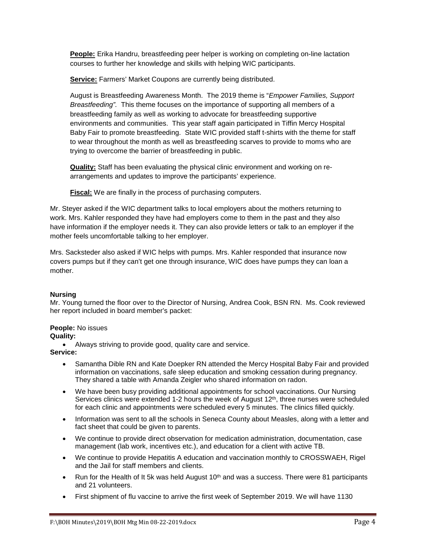**People:** Erika Handru, breastfeeding peer helper is working on completing on-line lactation courses to further her knowledge and skills with helping WIC participants.

**Service:** Farmers' Market Coupons are currently being distributed.

August is Breastfeeding Awareness Month. The 2019 theme is "*Empower Families, Support Breastfeeding".* This theme focuses on the importance of supporting all members of a breastfeeding family as well as working to advocate for breastfeeding supportive environments and communities. This year staff again participated in Tiffin Mercy Hospital Baby Fair to promote breastfeeding. State WIC provided staff t-shirts with the theme for staff to wear throughout the month as well as breastfeeding scarves to provide to moms who are trying to overcome the barrier of breastfeeding in public.

**Quality:** Staff has been evaluating the physical clinic environment and working on rearrangements and updates to improve the participants' experience.

**Fiscal:** We are finally in the process of purchasing computers.

Mr. Steyer asked if the WIC department talks to local employers about the mothers returning to work. Mrs. Kahler responded they have had employers come to them in the past and they also have information if the employer needs it. They can also provide letters or talk to an employer if the mother feels uncomfortable talking to her employer.

Mrs. Sacksteder also asked if WIC helps with pumps. Mrs. Kahler responded that insurance now covers pumps but if they can't get one through insurance, WIC does have pumps they can loan a mother.

# **Nursing**

Mr. Young turned the floor over to the Director of Nursing, Andrea Cook, BSN RN. Ms. Cook reviewed her report included in board member's packet:

# **People:** No issues

# **Quality:**

• Always striving to provide good, quality care and service.

# **Service:**

- Samantha Dible RN and Kate Doepker RN attended the Mercy Hospital Baby Fair and provided information on vaccinations, safe sleep education and smoking cessation during pregnancy. They shared a table with Amanda Zeigler who shared information on radon.
- We have been busy providing additional appointments for school vaccinations. Our Nursing Services clinics were extended 1-2 hours the week of August  $12<sup>th</sup>$ , three nurses were scheduled for each clinic and appointments were scheduled every 5 minutes. The clinics filled quickly.
- Information was sent to all the schools in Seneca County about Measles, along with a letter and fact sheet that could be given to parents.
- We continue to provide direct observation for medication administration, documentation, case management (lab work, incentives etc.), and education for a client with active TB.
- We continue to provide Hepatitis A education and vaccination monthly to CROSSWAEH, Rigel and the Jail for staff members and clients.
- Run for the Health of It 5k was held August  $10<sup>th</sup>$  and was a success. There were 81 participants and 21 volunteers.
- First shipment of flu vaccine to arrive the first week of September 2019. We will have 1130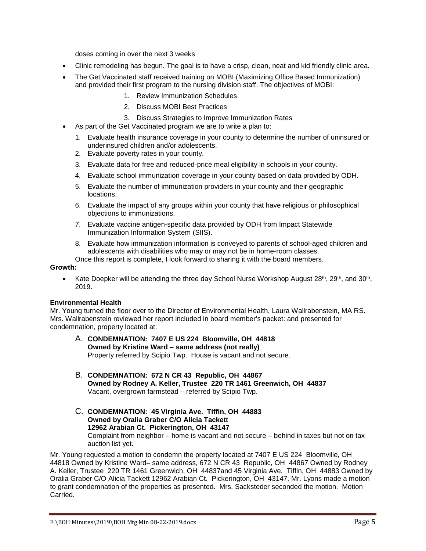doses coming in over the next 3 weeks

- Clinic remodeling has begun. The goal is to have a crisp, clean, neat and kid friendly clinic area.
- The Get Vaccinated staff received training on MOBI (Maximizing Office Based Immunization) and provided their first program to the nursing division staff. The objectives of MOBI:
	- 1. Review Immunization Schedules
	- 2. Discuss MOBI Best Practices
	- 3. Discuss Strategies to Improve Immunization Rates
- As part of the Get Vaccinated program we are to write a plan to:
	- 1. Evaluate health insurance coverage in your county to determine the number of uninsured or underinsured children and/or adolescents.
	- 2. Evaluate poverty rates in your county.
	- 3. Evaluate data for free and reduced-price meal eligibility in schools in your county.
	- 4. Evaluate school immunization coverage in your county based on data provided by ODH.
	- 5. Evaluate the number of immunization providers in your county and their geographic locations.
	- 6. Evaluate the impact of any groups within your county that have religious or philosophical objections to immunizations.
	- 7. Evaluate vaccine antigen-specific data provided by ODH from Impact Statewide Immunization Information System (SIIS).
	- 8. Evaluate how immunization information is conveyed to parents of school-aged children and adolescents with disabilities who may or may not be in home-room classes.

Once this report is complete, I look forward to sharing it with the board members.

# **Growth:**

Kate Doepker will be attending the three day School Nurse Workshop August  $28<sup>th</sup>$ ,  $29<sup>th</sup>$ , and  $30<sup>th</sup>$ , 2019.

# **Environmental Health**

Mr. Young turned the floor over to the Director of Environmental Health, Laura Wallrabenstein, MA RS. Mrs. Wallrabenstein reviewed her report included in board member's packet: and presented for condemnation, property located at:

- A. **CONDEMNATION: 7407 E US 224 Bloomville, OH 44818 Owned by Kristine Ward – same address (not really)** Property referred by Scipio Twp. House is vacant and not secure.
- B. **CONDEMNATION: 672 N CR 43 Republic, OH 44867 Owned by Rodney A. Keller, Trustee 220 TR 1461 Greenwich, OH 44837** Vacant, overgrown farmstead – referred by Scipio Twp.
- C. **CONDEMNATION: 45 Virginia Ave. Tiffin, OH 44883 Owned by Oralia Graber C/O Alicia Tackett 12962 Arabian Ct. Pickerington, OH 43147** Complaint from neighbor – home is vacant and not secure – behind in taxes but not on tax auction list yet.

Mr. Young requested a motion to condemn the property located at 7407 E US 224 Bloomville, OH 44818 Owned by Kristine Ward**–** same address, 672 N CR 43 Republic, OH 44867 Owned by Rodney A. Keller, Trustee 220 TR 1461 Greenwich, OH 44837and 45 Virginia Ave. Tiffin, OH 44883 Owned by Oralia Graber C/O Alicia Tackett 12962 Arabian Ct. Pickerington, OH 43147. Mr. Lyons made a motion to grant condemnation of the properties as presented. Mrs. Sacksteder seconded the motion. Motion Carried.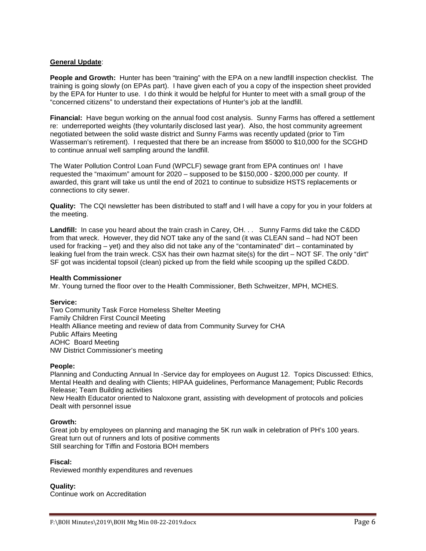# **General Update**:

**People and Growth:** Hunter has been "training" with the EPA on a new landfill inspection checklist. The training is going slowly (on EPAs part). I have given each of you a copy of the inspection sheet provided by the EPA for Hunter to use. I do think it would be helpful for Hunter to meet with a small group of the "concerned citizens" to understand their expectations of Hunter's job at the landfill.

**Financial:** Have begun working on the annual food cost analysis. Sunny Farms has offered a settlement re: underreported weights (they voluntarily disclosed last year). Also, the host community agreement negotiated between the solid waste district and Sunny Farms was recently updated (prior to Tim Wasserman's retirement). I requested that there be an increase from \$5000 to \$10,000 for the SCGHD to continue annual well sampling around the landfill.

The Water Pollution Control Loan Fund (WPCLF) sewage grant from EPA continues on! I have requested the "maximum" amount for 2020 – supposed to be \$150,000 - \$200,000 per county. If awarded, this grant will take us until the end of 2021 to continue to subsidize HSTS replacements or connections to city sewer.

**Quality:** The CQI newsletter has been distributed to staff and I will have a copy for you in your folders at the meeting.

**Landfill:** In case you heard about the train crash in Carey, OH. . . Sunny Farms did take the C&DD from that wreck. However, they did NOT take any of the sand (it was CLEAN sand – had NOT been used for fracking – yet) and they also did not take any of the "contaminated" dirt – contaminated by leaking fuel from the train wreck. CSX has their own hazmat site(s) for the dirt – NOT SF. The only "dirt" SF got was incidental topsoil (clean) picked up from the field while scooping up the spilled C&DD.

#### **Health Commissioner**

Mr. Young turned the floor over to the Health Commissioner, Beth Schweitzer, MPH, MCHES.

### **Service:**

Two Community Task Force Homeless Shelter Meeting Family Children First Council Meeting Health Alliance meeting and review of data from Community Survey for CHA Public Affairs Meeting AOHC Board Meeting NW District Commissioner's meeting

### **People:**

Planning and Conducting Annual In -Service day for employees on August 12. Topics Discussed: Ethics, Mental Health and dealing with Clients; HIPAA guidelines, Performance Management; Public Records Release; Team Building activities

New Health Educator oriented to Naloxone grant, assisting with development of protocols and policies Dealt with personnel issue

### **Growth:**

Great job by employees on planning and managing the 5K run walk in celebration of PH's 100 years. Great turn out of runners and lots of positive comments Still searching for Tiffin and Fostoria BOH members

### **Fiscal:**

Reviewed monthly expenditures and revenues

# **Quality:**

Continue work on Accreditation